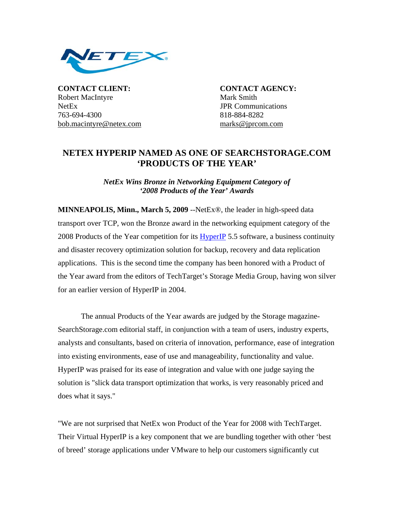

**CONTACT CLIENT: CONTACT AGENCY:** Robert MacIntyre Mark Smith NetEx **JPR** Communications 763-694-4300 818-884-8282 bob.macintyre@netex.com marks@jprcom.com

## **NETEX HYPERIP NAMED AS ONE OF SEARCHSTORAGE.COM 'PRODUCTS OF THE YEAR'**

*NetEx Wins Bronze in Networking Equipment Category of '2008 Products of the Year' Awards*

**MINNEAPOLIS, Minn., March 5, 2009** --NetEx®, the leader in high-speed data transport over TCP, won the Bronze award in the networking equipment category of the 2008 Products of the Year competition for its **HyperIP** 5.5 software, a business continuity and disaster recovery optimization solution for backup, recovery and data replication applications. This is the second time the company has been honored with a Product of the Year award from the editors of TechTarget's Storage Media Group, having won silver for an earlier version of HyperIP in 2004.

 The annual Products of the Year awards are judged by the Storage magazine-SearchStorage.com editorial staff, in conjunction with a team of users, industry experts, analysts and consultants, based on criteria of innovation, performance, ease of integration into existing environments, ease of use and manageability, functionality and value. HyperIP was praised for its ease of integration and value with one judge saying the solution is "slick data transport optimization that works, is very reasonably priced and does what it says."

"We are not surprised that NetEx won Product of the Year for 2008 with TechTarget. Their Virtual HyperIP is a key component that we are bundling together with other 'best of breed' storage applications under VMware to help our customers significantly cut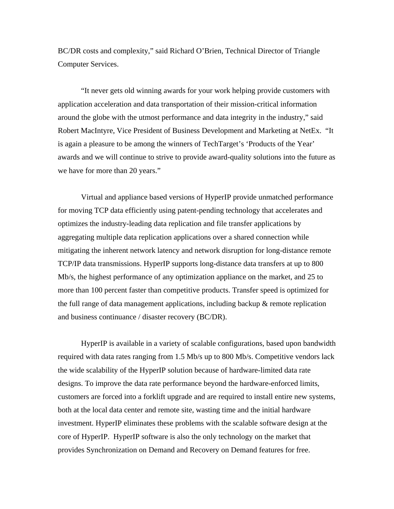BC/DR costs and complexity," said Richard O'Brien, Technical Director of Triangle Computer Services.

"It never gets old winning awards for your work helping provide customers with application acceleration and data transportation of their mission-critical information around the globe with the utmost performance and data integrity in the industry," said Robert MacIntyre, Vice President of Business Development and Marketing at NetEx. "It is again a pleasure to be among the winners of TechTarget's 'Products of the Year' awards and we will continue to strive to provide award-quality solutions into the future as we have for more than 20 years."

Virtual and appliance based versions of HyperIP provide unmatched performance for moving TCP data efficiently using patent-pending technology that accelerates and optimizes the industry-leading data replication and file transfer applications by aggregating multiple data replication applications over a shared connection while mitigating the inherent network latency and network disruption for long-distance remote TCP/IP data transmissions. HyperIP supports long-distance data transfers at up to 800 Mb/s, the highest performance of any optimization appliance on the market, and 25 to more than 100 percent faster than competitive products. Transfer speed is optimized for the full range of data management applications, including backup & remote replication and business continuance / disaster recovery (BC/DR).

HyperIP is available in a variety of scalable configurations, based upon bandwidth required with data rates ranging from 1.5 Mb/s up to 800 Mb/s. Competitive vendors lack the wide scalability of the HyperIP solution because of hardware-limited data rate designs. To improve the data rate performance beyond the hardware-enforced limits, customers are forced into a forklift upgrade and are required to install entire new systems, both at the local data center and remote site, wasting time and the initial hardware investment. HyperIP eliminates these problems with the scalable software design at the core of HyperIP. HyperIP software is also the only technology on the market that provides Synchronization on Demand and Recovery on Demand features for free.